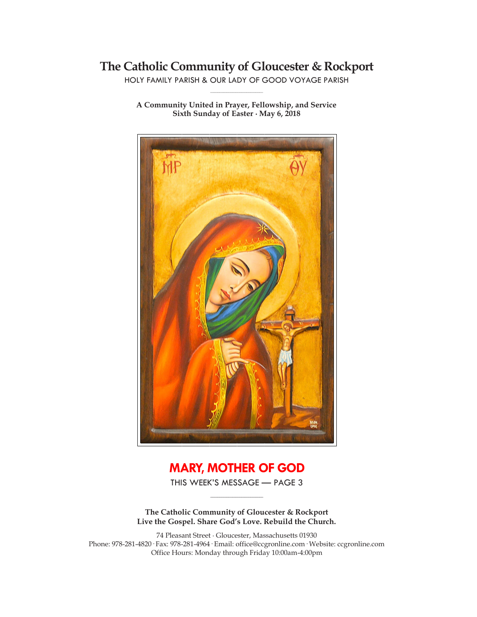# **The Catholic Community of Gloucester & Rockport**

HOLY FAMILY PARISH & OUR LADY OF GOOD VOYAGE PARISH **\_\_\_\_\_\_\_\_\_\_\_\_\_\_\_\_\_\_\_\_\_\_\_\_\_\_\_\_\_**

**A Community United in Prayer, Fellowship, and Service Sixth Sunday of Easter ∙ May 6, 2018**



# **MARY, MOTHER OF GOD**

THIS WEEK'S MESSAGE — PAGE 3 **\_\_\_\_\_\_\_\_\_\_\_\_\_\_\_\_\_\_\_\_\_\_\_\_\_\_\_\_\_**

**The Catholic Community of Gloucester & Rockport Live the Gospel. Share God's Love. Rebuild the Church.**

74 Pleasant Street ∙ Gloucester, Massachusetts 01930 Phone: 978-281-4820· Fax: 978-281-4964· Email: office@ccgronline.com· Website: ccgronline.com Office Hours: Monday through Friday 10:00am-4:00pm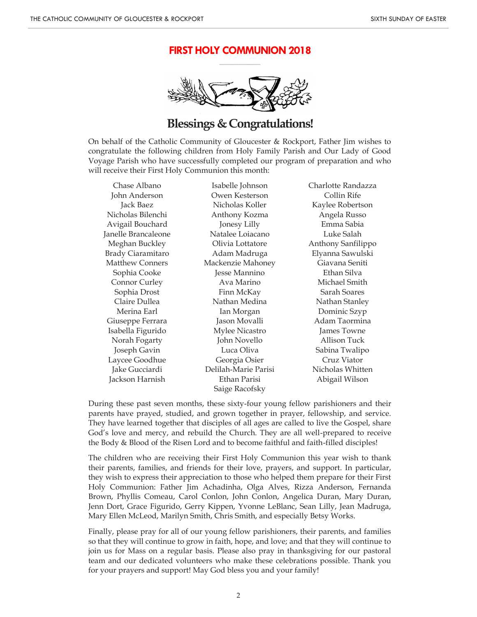#### **FIRST HOLY COMMUNION 2018 \_\_\_\_\_\_\_\_\_\_\_\_\_\_\_\_\_\_\_\_\_**



## **Blessings & Congratulations!**

On behalf of the Catholic Community of Gloucester & Rockport, Father Jim wishes to congratulate the following children from Holy Family Parish and Our Lady of Good Voyage Parish who have successfully completed our program of preparation and who will receive their First Holy Communion this month:

Chase Albano John Anderson Jack Baez Nicholas Bilenchi Avigail Bouchard Janelle Brancaleone Meghan Buckley Brady Ciaramitaro Matthew Conners Sophia Cooke Connor Curley Sophia Drost Claire Dullea Merina Earl Giuseppe Ferrara Isabella Figurido Norah Fogarty Joseph Gavin Laycee Goodhue Jake Gucciardi Jackson Harnish

Isabelle Johnson Owen Kesterson Nicholas Koller Anthony Kozma Jonesy Lilly Natalee Loiacano Olivia Lottatore Adam Madruga Mackenzie Mahoney Jesse Mannino Ava Marino Finn McKay Nathan Medina Ian Morgan Jason Movalli Mylee Nicastro John Novello Luca Oliva Georgia Osier Delilah-Marie Parisi Ethan Parisi Saige Racofsky

Charlotte Randazza Collin Rife Kaylee Robertson Angela Russo Emma Sabia Luke Salah Anthony Sanfilippo Elyanna Sawulski Giavana Seniti Ethan Silva Michael Smith Sarah Soares Nathan Stanley Dominic Szyp Adam Taormina James Towne Allison Tuck Sabina Twalipo Cruz Viator Nicholas Whitten Abigail Wilson

During these past seven months, these sixty-four young fellow parishioners and their parents have prayed, studied, and grown together in prayer, fellowship, and service. They have learned together that disciples of all ages are called to live the Gospel, share God's love and mercy, and rebuild the Church. They are all well-prepared to receive the Body & Blood of the Risen Lord and to become faithful and faith-filled disciples!

The children who are receiving their First Holy Communion this year wish to thank their parents, families, and friends for their love, prayers, and support. In particular, they wish to express their appreciation to those who helped them prepare for their First Holy Communion: Father Jim Achadinha, Olga Alves, Rizza Anderson, Fernanda Brown, Phyllis Comeau, Carol Conlon, John Conlon, Angelica Duran, Mary Duran, Jenn Dort, Grace Figurido, Gerry Kippen, Yvonne LeBlanc, Sean Lilly, Jean Madruga, Mary Ellen McLeod, Marilyn Smith, Chris Smith, and especially Betsy Works.

Finally, please pray for all of our young fellow parishioners, their parents, and families so that they will continue to grow in faith, hope, and love; and that they will continue to join us for Mass on a regular basis. Please also pray in thanksgiving for our pastoral team and our dedicated volunteers who make these celebrations possible. Thank you for your prayers and support! May God bless you and your family!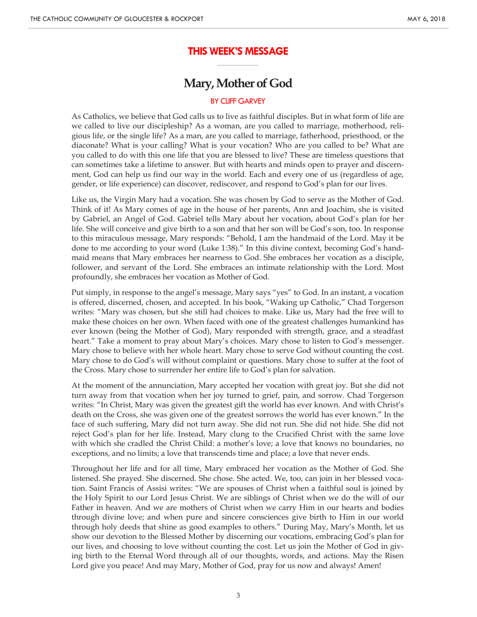## **THIS WEEK'S MESSAGE \_\_\_\_\_\_\_\_\_\_\_\_\_\_\_\_\_\_\_\_\_**

## **Mary, Mother of God**

#### BY CLIFF GARVEY

As Catholics, we believe that God calls us to live as faithful disciples. But in what form of life are we called to live our discipleship? As a woman, are you called to marriage, motherhood, religious life, or the single life? As a man, are you called to marriage, fatherhood, priesthood, or the diaconate? What is your calling? What is your vocation? Who are you called to be? What are you called to do with this one life that you are blessed to live? These are timeless questions that can sometimes take a lifetime to answer. But with hearts and minds open to prayer and discernment, God can help us find our way in the world. Each and every one of us (regardless of age, gender, or life experience) can discover, rediscover, and respond to God's plan for our lives.

Like us, the Virgin Mary had a vocation. She was chosen by God to serve as the Mother of God. Think of it! As Mary comes of age in the house of her parents, Ann and Joachim, she is visited by Gabriel, an Angel of God. Gabriel tells Mary about her vocation, about God's plan for her life. She will conceive and give birth to a son and that her son will be God's son, too. In response to this miraculous message, Mary responds: "Behold, I am the handmaid of the Lord. May it be done to me according to your word (Luke 1:38)." In this divine context, becoming God's handmaid means that Mary embraces her nearness to God. She embraces her vocation as a disciple, follower, and servant of the Lord. She embraces an intimate relationship with the Lord. Most profoundly, she embraces her vocation as Mother of God.

Put simply, in response to the angel's message, Mary says "yes" to God. In an instant, a vocation is offered, discerned, chosen, and accepted. In his book, "Waking up Catholic," Chad Torgerson writes: "Mary was chosen, but she still had choices to make. Like us, Mary had the free will to make these choices on her own. When faced with one of the greatest challenges humankind has ever known (being the Mother of God), Mary responded with strength, grace, and a steadfast heart." Take a moment to pray about Mary's choices. Mary chose to listen to God's messenger. Mary chose to believe with her whole heart. Mary chose to serve God without counting the cost. Mary chose to do God's will without complaint or questions. Mary chose to suffer at the foot of the Cross. Mary chose to surrender her entire life to God's plan for salvation.

At the moment of the annunciation, Mary accepted her vocation with great joy. But she did not turn away from that vocation when her joy turned to grief, pain, and sorrow. Chad Torgerson writes: "In Christ, Mary was given the greatest gift the world has ever known. And with Christ's death on the Cross, she was given one of the greatest sorrows the world has ever known." In the face of such suffering, Mary did not turn away. She did not run. She did not hide. She did not reject God's plan for her life. Instead, Mary clung to the Crucified Christ with the same love with which she cradled the Christ Child: a mother's love; a love that knows no boundaries, no exceptions, and no limits; a love that transcends time and place; a love that never ends.

Throughout her life and for all time, Mary embraced her vocation as the Mother of God. She listened. She prayed. She discerned. She chose. She acted. We, too, can join in her blessed vocation. Saint Francis of Assisi writes: "We are spouses of Christ when a faithful soul is joined by the Holy Spirit to our Lord Jesus Christ. We are siblings of Christ when we do the will of our Father in heaven. And we are mothers of Christ when we carry Him in our hearts and bodies through divine love; and when pure and sincere consciences give birth to Him in our world through holy deeds that shine as good examples to others." During May, Mary's Month, let us show our devotion to the Blessed Mother by discerning our vocations, embracing God's plan for our lives, and choosing to love without counting the cost. Let us join the Mother of God in giving birth to the Eternal Word through all of our thoughts, words, and actions. May the Risen Lord give you peace! And may Mary, Mother of God, pray for us now and always! Amen!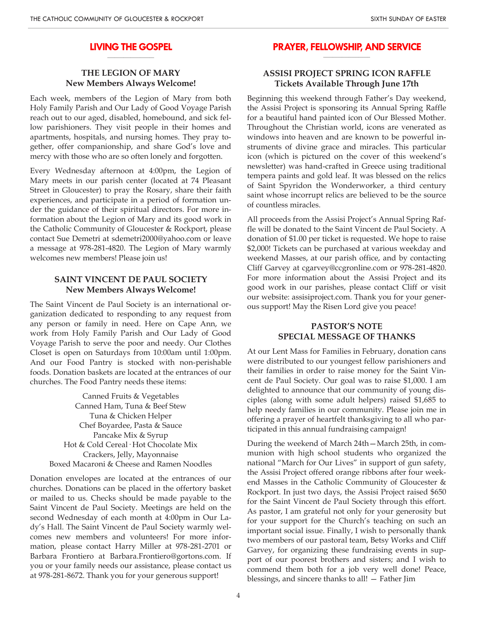#### **LIVING THE GOSPEL \_\_\_\_\_\_\_\_\_\_\_\_\_\_\_\_\_\_\_\_**

## **THE LEGION OF MARY New Members Always Welcome!**

Each week, members of the Legion of Mary from both Holy Family Parish and Our Lady of Good Voyage Parish reach out to our aged, disabled, homebound, and sick fellow parishioners. They visit people in their homes and apartments, hospitals, and nursing homes. They pray together, offer companionship, and share God's love and mercy with those who are so often lonely and forgotten.

Every Wednesday afternoon at 4:00pm, the Legion of Mary meets in our parish center (located at 74 Pleasant Street in Gloucester) to pray the Rosary, share their faith experiences, and participate in a period of formation under the guidance of their spiritual directors. For more information about the Legion of Mary and its good work in the Catholic Community of Gloucester & Rockport, please contact Sue Demetri at sdemetri2000@yahoo.com or leave a message at 978-281-4820. The Legion of Mary warmly welcomes new members! Please join us!

#### **SAINT VINCENT DE PAUL SOCIETY New Members Always Welcome!**

The Saint Vincent de Paul Society is an international organization dedicated to responding to any request from any person or family in need. Here on Cape Ann, we work from Holy Family Parish and Our Lady of Good Voyage Parish to serve the poor and needy. Our Clothes Closet is open on Saturdays from 10:00am until 1:00pm. And our Food Pantry is stocked with non-perishable foods. Donation baskets are located at the entrances of our churches. The Food Pantry needs these items:

Canned Fruits & Vegetables Canned Ham, Tuna & Beef Stew Tuna & Chicken Helper Chef Boyardee, Pasta & Sauce Pancake Mix & Syrup Hot & Cold Cereal· Hot Chocolate Mix Crackers, Jelly, Mayonnaise Boxed Macaroni & Cheese and Ramen Noodles

Donation envelopes are located at the entrances of our churches. Donations can be placed in the offertory basket or mailed to us. Checks should be made payable to the Saint Vincent de Paul Society. Meetings are held on the second Wednesday of each month at 4:00pm in Our Lady's Hall. The Saint Vincent de Paul Society warmly welcomes new members and volunteers! For more information, please contact Harry Miller at 978-281-2701 or Barbara Frontiero at Barbara.Frontiero@gortons.com. If you or your family needs our assistance, please contact us at 978-281-8672. Thank you for your generous support!

#### **PRAYER, FELLOWSHIP, AND SERVICE \_\_\_\_\_\_\_\_\_\_\_\_\_\_\_\_\_\_\_\_**

## **ASSISI PROJECT SPRING ICON RAFFLE Tickets Available Through June 17th**

Beginning this weekend through Father's Day weekend, the Assisi Project is sponsoring its Annual Spring Raffle for a beautiful hand painted icon of Our Blessed Mother. Throughout the Christian world, icons are venerated as windows into heaven and are known to be powerful instruments of divine grace and miracles. This particular icon (which is pictured on the cover of this weekend's newsletter) was hand-crafted in Greece using traditional tempera paints and gold leaf. It was blessed on the relics of Saint Spyridon the Wonderworker, a third century saint whose incorrupt relics are believed to be the source of countless miracles.

All proceeds from the Assisi Project's Annual Spring Raffle will be donated to the Saint Vincent de Paul Society. A donation of \$1.00 per ticket is requested. We hope to raise \$2,000! Tickets can be purchased at various weekday and weekend Masses, at our parish office, and by contacting Cliff Garvey at cgarvey@ccgronline.com or 978-281-4820. For more information about the Assisi Project and its good work in our parishes, please contact Cliff or visit our website: assisiproject.com. Thank you for your generous support! May the Risen Lord give you peace!

## **PASTOR'S NOTE SPECIAL MESSAGE OF THANKS**

At our Lent Mass for Families in February, donation cans were distributed to our youngest fellow parishioners and their families in order to raise money for the Saint Vincent de Paul Society. Our goal was to raise \$1,000. I am delighted to announce that our community of young disciples (along with some adult helpers) raised \$1,685 to help needy families in our community. Please join me in offering a prayer of heartfelt thanksgiving to all who participated in this annual fundraising campaign!

During the weekend of March 24th—March 25th, in communion with high school students who organized the national "March for Our Lives" in support of gun safety, the Assisi Project offered orange ribbons after four weekend Masses in the Catholic Community of Gloucester & Rockport. In just two days, the Assisi Project raised \$650 for the Saint Vincent de Paul Society through this effort. As pastor, I am grateful not only for your generosity but for your support for the Church's teaching on such an important social issue. Finally, I wish to personally thank two members of our pastoral team, Betsy Works and Cliff Garvey, for organizing these fundraising events in support of our poorest brothers and sisters; and I wish to commend them both for a job very well done! Peace, blessings, and sincere thanks to all! — Father Jim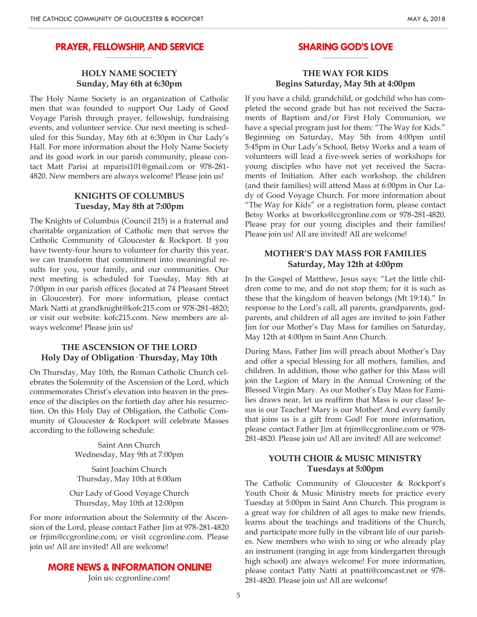#### **PRAYER, FELLOWSHIP, AND SERVICE \_\_\_\_\_\_\_\_\_\_\_\_\_\_\_\_\_\_\_\_**

## **HOLY NAME SOCIETY Sunday, May 6th at 6:30pm**

The Holy Name Society is an organization of Catholic men that was founded to support Our Lady of Good Voyage Parish through prayer, fellowship, fundraising events, and volunteer service. Our next meeting is scheduled for this Sunday, May 6th at 6:30pm in Our Lady's Hall. For more information about the Holy Name Society and its good work in our parish community, please contact Matt Parisi at mparisi101@gmail.com or 978-281- 4820. New members are always welcome! Please join us!

## **KNIGHTS OF COLUMBUS Tuesday, May 8th at 7:00pm**

The Knights of Columbus (Council 215) is a fraternal and charitable organization of Catholic men that serves the Catholic Community of Gloucester & Rockport. If you have twenty-four hours to volunteer for charity this year, we can transform that commitment into meaningful results for you, your family, and our communities. Our next meeting is scheduled for Tuesday, May 8th at 7:00pm in our parish offices (located at 74 Pleasant Street in Gloucester). For more information, please contact Mark Natti at grandknight@kofc215.com or 978-281-4820; or visit our website: kofc215.com. New members are always welcome! Please join us!

### **THE ASCENSION OF THE LORD Holy Day of Obligation· Thursday, May 10th**

On Thursday, May 10th, the Roman Catholic Church celebrates the Solemnity of the Ascension of the Lord, which commemorates Christ's elevation into heaven in the presence of the disciples on the fortieth day after his resurrection. On this Holy Day of Obligation, the Catholic Community of Gloucester & Rockport will celebrate Masses according to the following schedule:

> Saint Ann Church Wednesday, May 9th at 7:00pm

Saint Joachim Church Thursday, May 10th at 8:00am

Our Lady of Good Voyage Church Thursday, May 10th at 12:00pm

For more information about the Solemnity of the Ascension of the Lord, please contact Father Jim at 978-281-4820 or frjim@ccgronline.com; or visit ccgronline.com. Please join us! All are invited! All are welcome!

#### **MORE NEWS & INFORMATION ONLINE!**

Join us: ccgronline.com!

#### **SHARING GOD'S LOVE \_\_\_\_\_\_\_\_\_\_\_\_\_\_\_\_\_\_\_\_**

### **THE WAY FOR KIDS Begins Saturday, May 5th at 4:00pm**

If you have a child, grandchild, or godchild who has completed the second grade but has not received the Sacraments of Baptism and/or First Holy Communion, we have a special program just for them: "The Way for Kids." Beginning on Saturday, May 5th from 4:00pm until 5:45pm in Our Lady's School, Betsy Works and a team of volunteers will lead a five-week series of workshops for young disciples who have not yet received the Sacraments of Initiation. After each workshop, the children (and their families) will attend Mass at 6:00pm in Our Lady of Good Voyage Church. For more information about "The Way for Kids" or a registration form, please contact Betsy Works at bworks@ccgronline.com or 978-281-4820. Please pray for our young disciples and their families! Please join us! All are invited! All are welcome!

## **MOTHER'S DAY MASS FOR FAMILIES Saturday, May 12th at 4:00pm**

In the Gospel of Matthew, Jesus says: "Let the little children come to me, and do not stop them; for it is such as these that the kingdom of heaven belongs (Mt 19:14)." In response to the Lord's call, all parents, grandparents, godparents, and children of all ages are invited to join Father Jim for our Mother's Day Mass for families on Saturday, May 12th at 4:00pm in Saint Ann Church.

During Mass, Father Jim will preach about Mother's Day and offer a special blessing for all mothers, families, and children. In addition, those who gather for this Mass will join the Legion of Mary in the Annual Crowning of the Blessed Virgin Mary. As our Mother's Day Mass for Families draws near, let us reaffirm that Mass is our class! Jesus is our Teacher! Mary is our Mother! And every family that joins us is a gift from God! For more information, please contact Father Jim at frjim@ccgronline.com or 978- 281-4820. Please join us! All are invited! All are welcome!

#### **YOUTH CHOIR & MUSIC MINISTRY Tuesdays at 5:00pm**

The Catholic Community of Gloucester & Rockport's Youth Choir & Music Ministry meets for practice every Tuesday at 5:00pm in Saint Ann Church. This program is a great way for children of all ages to make new friends, learns about the teachings and traditions of the Church, and participate more fully in the vibrant life of our parishes. New members who wish to sing or who already play an instrument (ranging in age from kindergarten through high school) are always welcome! For more information, please contact Patty Natti at pnatti@comcast.net or 978- 281-4820. Please join us! All are welcome!